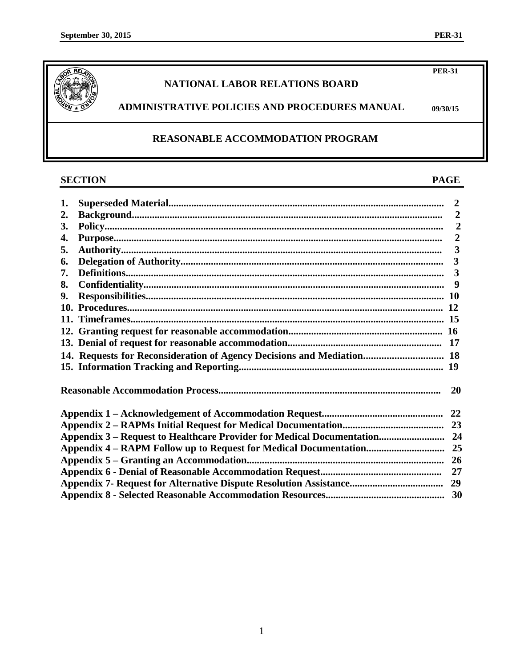**PER-31**

**09/30/15**



# **NATIONAL LABOR RELATIONS BOARD**

# **ADMINISTRATIVE POLICIES AND PROCEDURES MANUAL**

# **REASONABLE ACCOMMODATION PROGRAM**

# **SECTION PAGE**

| 1. |                                                                       |  |  |  |  |
|----|-----------------------------------------------------------------------|--|--|--|--|
| 2. |                                                                       |  |  |  |  |
| 3. |                                                                       |  |  |  |  |
| 4. |                                                                       |  |  |  |  |
| 5. |                                                                       |  |  |  |  |
| 6. |                                                                       |  |  |  |  |
| 7. |                                                                       |  |  |  |  |
| 8. |                                                                       |  |  |  |  |
| 9. |                                                                       |  |  |  |  |
|    |                                                                       |  |  |  |  |
|    |                                                                       |  |  |  |  |
|    |                                                                       |  |  |  |  |
|    |                                                                       |  |  |  |  |
|    | 14. Requests for Reconsideration of Agency Decisions and Mediation 18 |  |  |  |  |
|    |                                                                       |  |  |  |  |
|    |                                                                       |  |  |  |  |
| 22 |                                                                       |  |  |  |  |
|    |                                                                       |  |  |  |  |
|    |                                                                       |  |  |  |  |
|    |                                                                       |  |  |  |  |
|    |                                                                       |  |  |  |  |
|    |                                                                       |  |  |  |  |
|    |                                                                       |  |  |  |  |
|    |                                                                       |  |  |  |  |

1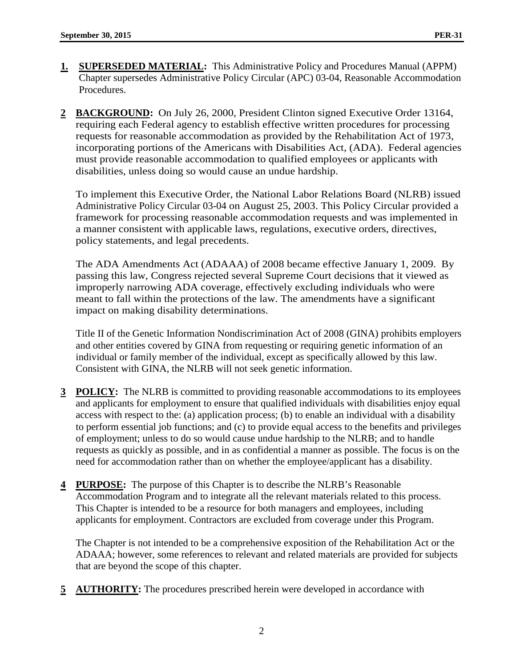- **1. SUPERSEDED MATERIAL:** This Administrative Policy and Procedures Manual (APPM) Chapter supersedes Administrative Policy Circular (APC) 03-04, Reasonable Accommodation Procedures.
- **2 BACKGROUND:** On July 26, 2000, President Clinton signed Executive Order 13164, requiring each Federal agency to establish effective written procedures for processing requests for reasonable accommodation as provided by the Rehabilitation Act of 1973, incorporating portions of the Americans with Disabilities Act, (ADA). Federal agencies must provide reasonable accommodation to qualified employees or applicants with disabilities, unless doing so would cause an undue hardship.

To implement this Executive Order, the National Labor Relations Board (NLRB) issued Administrative Policy Circular 03-04 on August 25, 2003. This Policy Circular provided a framework for processing reasonable accommodation requests and was implemented in a manner consistent with applicable laws, regulations, executive orders, directives, policy statements, and legal precedents.

The ADA Amendments Act (ADAAA) of 2008 became effective January 1, 2009. By passing this law, Congress rejected several Supreme Court decisions that it viewed as improperly narrowing ADA coverage, effectively excluding individuals who were meant to fall within the protections of the law. The amendments have a significant impact on making disability determinations.

Title II of the Genetic Information Nondiscrimination Act of 2008 (GINA) prohibits employers and other entities covered by GINA from requesting or requiring genetic information of an individual or family member of the individual, except as specifically allowed by this law. Consistent with GINA, the NLRB will not seek genetic information.

- **3 POLICY:** The NLRB is committed to providing reasonable accommodations to its employees and applicants for employment to ensure that qualified individuals with disabilities enjoy equal access with respect to the: (a) application process; (b) to enable an individual with a disability to perform essential job functions; and (c) to provide equal access to the benefits and privileges of employment; unless to do so would cause undue hardship to the NLRB; and to handle requests as quickly as possible, and in as confidential a manner as possible. The focus is on the need for accommodation rather than on whether the employee/applicant has a disability.
- **4 PURPOSE:** The purpose of this Chapter is to describe the NLRB's Reasonable Accommodation Program and to integrate all the relevant materials related to this process. This Chapter is intended to be a resource for both managers and employees, including applicants for employment. Contractors are excluded from coverage under this Program.

The Chapter is not intended to be a comprehensive exposition of the Rehabilitation Act or the ADAAA; however, some references to relevant and related materials are provided for subjects that are beyond the scope of this chapter.

**5 AUTHORITY:** The procedures prescribed herein were developed in accordance with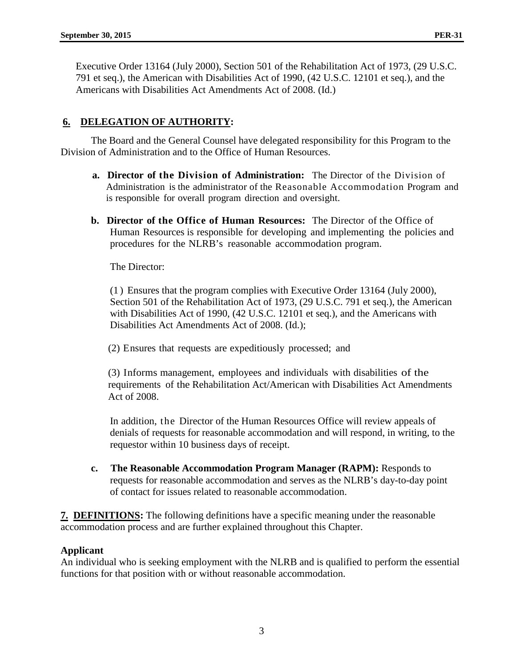Executive Order 13164 (July 2000), Section 501 of the Rehabilitation Act of 1973, (29 U.S.C. 791 et seq.), the American with Disabilities Act of 1990, (42 U.S.C. 12101 et seq.), and the Americans with Disabilities Act Amendments Act of 2008. (Id.)

# **6. DELEGATION OF AUTHORITY:**

The Board and the General Counsel have delegated responsibility for this Program to the Division of Administration and to the Office of Human Resources.

- **a. Director of the Division of Administration:** The Director of the Division of Administration is the administrator of the Reasonable Accommodation Program and is responsible for overall program direction and oversight.
- **b. Director of the Office of Human Resources:** The Director of the Office of Human Resources is responsible for developing and implementing the policies and procedures for the NLRB's reasonable accommodation program.

The Director:

(1 ) Ensures that the program complies with Executive Order 13164 (July 2000), Section 501 of the Rehabilitation Act of 1973, (29 U.S.C. 791 et seq.), the American with Disabilities Act of 1990, (42 U.S.C. 12101 et seq.), and the Americans with Disabilities Act Amendments Act of 2008. (Id.);

(2) Ensures that requests are expeditiously processed; and

(3) Informs management, employees and individuals with disabilities of the requirements of the Rehabilitation Act/American with Disabilities Act Amendments Act of 2008.

In addition, the Director of the Human Resources Office will review appeals of denials of requests for reasonable accommodation and will respond, in writing, to the requestor within 10 business days of receipt.

**c. The Reasonable Accommodation Program Manager (RAPM):** Responds to requests for reasonable accommodation and serves as the NLRB's day-to-day point of contact for issues related to reasonable accommodation.

**7. DEFINITIONS:** The following definitions have a specific meaning under the reasonable accommodation process and are further explained throughout this Chapter.

#### **Applicant**

An individual who is seeking employment with the NLRB and is qualified to perform the essential functions for that position with or without reasonable accommodation.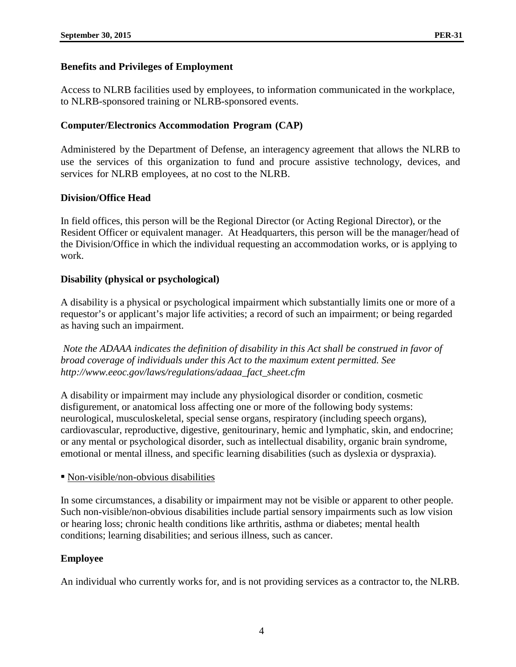## **Benefits and Privileges of Employment**

Access to NLRB facilities used by employees, to information communicated in the workplace, to NLRB-sponsored training or NLRB-sponsored events.

## **Computer/Electronics Accommodation Program (CAP)**

Administered by the Department of Defense, an interagency agreement that allows the NLRB to use the services of this organization to fund and procure assistive technology, devices, and services for NLRB employees, at no cost to the NLRB.

#### **Division/Office Head**

In field offices, this person will be the Regional Director (or Acting Regional Director), or the Resident Officer or equivalent manager. At Headquarters, this person will be the manager/head of the Division/Office in which the individual requesting an accommodation works, or is applying to work.

## **Disability (physical or psychological)**

A disability is a physical or psychological impairment which substantially limits one or more of a requestor's or applicant's major life activities; a record of such an impairment; or being regarded as having such an impairment.

*Note the ADAAA indicates the definition of disability in this Act shall be construed in favor of broad coverage of individuals under this Act to the maximum extent permitted. See http://www.eeoc.gov/laws/regulations/adaaa\_fact\_sheet.cfm*

A disability or impairment may include any physiological disorder or condition, cosmetic disfigurement, or anatomical loss affecting one or more of the following body systems: neurological, musculoskeletal, special sense organs, respiratory (including speech organs), cardiovascular, reproductive, digestive, genitourinary, hemic and lymphatic, skin, and endocrine; or any mental or psychological disorder, such as intellectual disability, organic brain syndrome, emotional or mental illness, and specific learning disabilities (such as dyslexia or dyspraxia).

#### • Non-visible/non-obvious disabilities

In some circumstances, a disability or impairment may not be visible or apparent to other people. Such non-visible/non-obvious disabilities include partial sensory impairments such as low vision or hearing loss; chronic health conditions like arthritis, asthma or diabetes; mental health conditions; learning disabilities; and serious illness, such as cancer.

# **Employee**

An individual who currently works for, and is not providing services as a contractor to, the NLRB.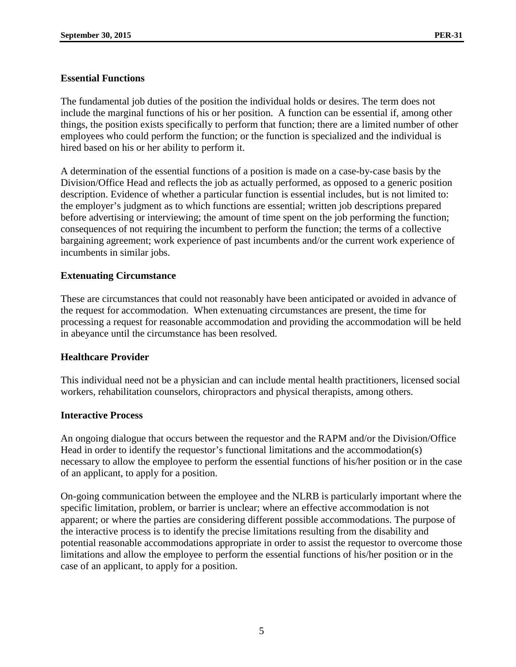## **Essential Functions**

The fundamental job duties of the position the individual holds or desires. The term does not include the marginal functions of his or her position. A function can be essential if, among other things, the position exists specifically to perform that function; there are a limited number of other employees who could perform the function; or the function is specialized and the individual is hired based on his or her ability to perform it.

A determination of the essential functions of a position is made on a case-by-case basis by the Division/Office Head and reflects the job as actually performed, as opposed to a generic position description. Evidence of whether a particular function is essential includes, but is not limited to: the employer's judgment as to which functions are essential; written job descriptions prepared before advertising or interviewing; the amount of time spent on the job performing the function; consequences of not requiring the incumbent to perform the function; the terms of a collective bargaining agreement; work experience of past incumbents and/or the current work experience of incumbents in similar jobs.

## **Extenuating Circumstance**

These are circumstances that could not reasonably have been anticipated or avoided in advance of the request for accommodation. When extenuating circumstances are present, the time for processing a request for reasonable accommodation and providing the accommodation will be held in abeyance until the circumstance has been resolved.

#### **Healthcare Provider**

This individual need not be a physician and can include mental health practitioners, licensed social workers, rehabilitation counselors, chiropractors and physical therapists, among others.

#### **Interactive Process**

An ongoing dialogue that occurs between the requestor and the RAPM and/or the Division/Office Head in order to identify the requestor's functional limitations and the accommodation(s) necessary to allow the employee to perform the essential functions of his/her position or in the case of an applicant, to apply for a position.

On-going communication between the employee and the NLRB is particularly important where the specific limitation, problem, or barrier is unclear; where an effective accommodation is not apparent; or where the parties are considering different possible accommodations. The purpose of the interactive process is to identify the precise limitations resulting from the disability and potential reasonable accommodations appropriate in order to assist the requestor to overcome those limitations and allow the employee to perform the essential functions of his/her position or in the case of an applicant, to apply for a position.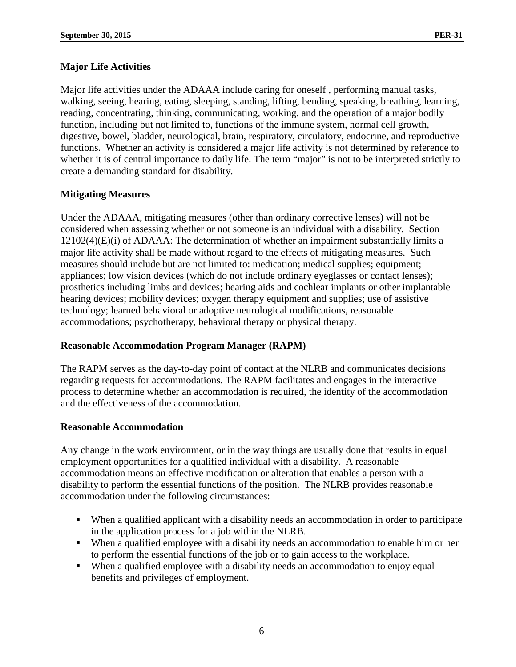# **Major Life Activities**

Major life activities under the ADAAA include caring for oneself , performing manual tasks, walking, seeing, hearing, eating, sleeping, standing, lifting, bending, speaking, breathing, learning, reading, concentrating, thinking, communicating, working, and the operation of a major bodily function, including but not limited to, functions of the immune system, normal cell growth, digestive, bowel, bladder, neurological, brain, respiratory, circulatory, endocrine, and reproductive functions. Whether an activity is considered a major life activity is not determined by reference to whether it is of central importance to daily life. The term "major" is not to be interpreted strictly to create a demanding standard for disability.

# **Mitigating Measures**

Under the ADAAA, mitigating measures (other than ordinary corrective lenses) will not be considered when assessing whether or not someone is an individual with a disability. Section 12102(4)(E)(i) of ADAAA: The determination of whether an impairment substantially limits a major life activity shall be made without regard to the effects of mitigating measures. Such measures should include but are not limited to: medication; medical supplies; equipment; appliances; low vision devices (which do not include ordinary eyeglasses or contact lenses); prosthetics including limbs and devices; hearing aids and cochlear implants or other implantable hearing devices; mobility devices; oxygen therapy equipment and supplies; use of assistive technology; learned behavioral or adoptive neurological modifications, reasonable accommodations; psychotherapy, behavioral therapy or physical therapy.

# **Reasonable Accommodation Program Manager (RAPM)**

The RAPM serves as the day-to-day point of contact at the NLRB and communicates decisions regarding requests for accommodations. The RAPM facilitates and engages in the interactive process to determine whether an accommodation is required, the identity of the accommodation and the effectiveness of the accommodation.

# **Reasonable Accommodation**

Any change in the work environment, or in the way things are usually done that results in equal employment opportunities for a qualified individual with a disability. A reasonable accommodation means an effective modification or alteration that enables a person with a disability to perform the essential functions of the position. The NLRB provides reasonable accommodation under the following circumstances:

- When a qualified applicant with a disability needs an accommodation in order to participate in the application process for a job within the NLRB.
- When a qualified employee with a disability needs an accommodation to enable him or her to perform the essential functions of the job or to gain access to the workplace.
- When a qualified employee with a disability needs an accommodation to enjoy equal benefits and privileges of employment.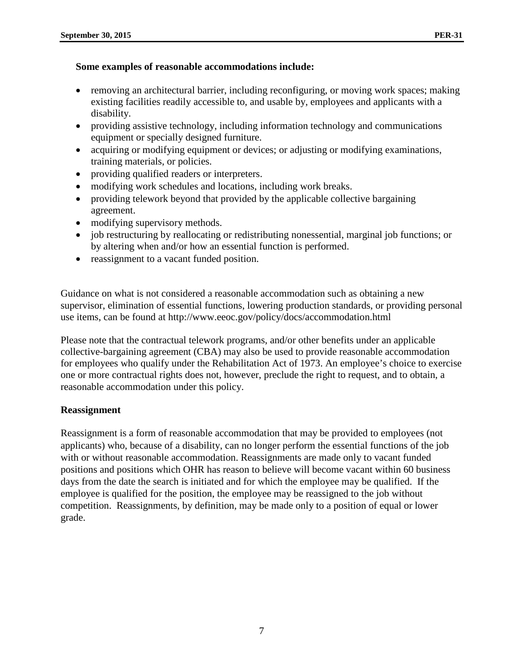## **Some examples of reasonable accommodations include:**

- removing an architectural barrier, including reconfiguring, or moving work spaces; making existing facilities readily accessible to, and usable by, employees and applicants with a disability.
- providing assistive technology, including information technology and communications equipment or specially designed furniture.
- acquiring or modifying equipment or devices; or adjusting or modifying examinations, training materials, or policies.
- providing qualified readers or interpreters.
- modifying work schedules and locations, including work breaks.
- providing telework beyond that provided by the applicable collective bargaining agreement.
- modifying supervisory methods.
- job restructuring by reallocating or redistributing nonessential, marginal job functions; or by altering when and/or how an essential function is performed.
- reassignment to a vacant funded position.

Guidance on what is not considered a reasonable accommodation such as obtaining a new supervisor, elimination of essential functions, lowering production standards, or providing personal use items, can be found at http://www.eeoc.gov/policy/docs/accommodation.html

Please note that the contractual telework programs, and/or other benefits under an applicable collective-bargaining agreement (CBA) may also be used to provide reasonable accommodation for employees who qualify under the Rehabilitation Act of 1973. An employee's choice to exercise one or more contractual rights does not, however, preclude the right to request, and to obtain, a reasonable accommodation under this policy.

# **Reassignment**

Reassignment is a form of reasonable accommodation that may be provided to employees (not applicants) who, because of a disability, can no longer perform the essential functions of the job with or without reasonable accommodation. Reassignments are made only to vacant funded positions and positions which OHR has reason to believe will become vacant within 60 business days from the date the search is initiated and for which the employee may be qualified. If the employee is qualified for the position, the employee may be reassigned to the job without competition. Reassignments, by definition, may be made only to a position of equal or lower grade.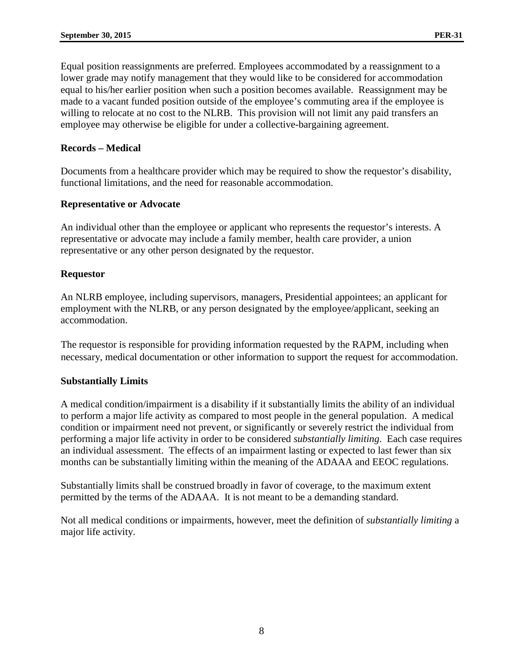Equal position reassignments are preferred. Employees accommodated by a reassignment to a lower grade may notify management that they would like to be considered for accommodation equal to his/her earlier position when such a position becomes available. Reassignment may be made to a vacant funded position outside of the employee's commuting area if the employee is willing to relocate at no cost to the NLRB. This provision will not limit any paid transfers an employee may otherwise be eligible for under a collective-bargaining agreement.

## **Records – Medical**

Documents from a healthcare provider which may be required to show the requestor's disability, functional limitations, and the need for reasonable accommodation.

## **Representative or Advocate**

An individual other than the employee or applicant who represents the requestor's interests. A representative or advocate may include a family member, health care provider, a union representative or any other person designated by the requestor.

## **Requestor**

An NLRB employee, including supervisors, managers, Presidential appointees; an applicant for employment with the NLRB, or any person designated by the employee/applicant, seeking an accommodation.

The requestor is responsible for providing information requested by the RAPM, including when necessary, medical documentation or other information to support the request for accommodation.

#### **Substantially Limits**

A medical condition/impairment is a disability if it substantially limits the ability of an individual to perform a major life activity as compared to most people in the general population. A medical condition or impairment need not prevent, or significantly or severely restrict the individual from performing a major life activity in order to be considered *substantially limiting*. Each case requires an individual assessment. The effects of an impairment lasting or expected to last fewer than six months can be substantially limiting within the meaning of the ADAAA and EEOC regulations.

Substantially limits shall be construed broadly in favor of coverage, to the maximum extent permitted by the terms of the ADAAA. It is not meant to be a demanding standard.

Not all medical conditions or impairments, however, meet the definition of *substantially limiting* a major life activity.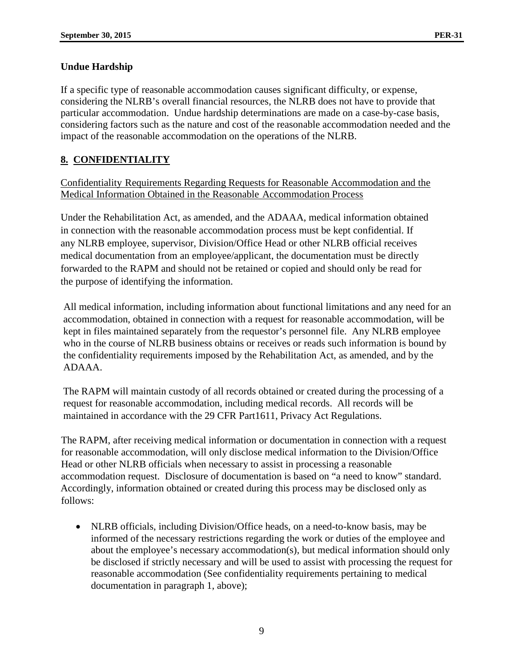# **Undue Hardship**

If a specific type of reasonable accommodation causes significant difficulty, or expense, considering the NLRB's overall financial resources, the NLRB does not have to provide that particular accommodation. Undue hardship determinations are made on a case-by-case basis, considering factors such as the nature and cost of the reasonable accommodation needed and the impact of the reasonable accommodation on the operations of the NLRB.

# **8. CONFIDENTIALITY**

Confidentiality Requirements Regarding Requests for Reasonable Accommodation and the Medical Information Obtained in the Reasonable Accommodation Process

Under the Rehabilitation Act, as amended, and the ADAAA, medical information obtained in connection with the reasonable accommodation process must be kept confidential. If any NLRB employee, supervisor, Division/Office Head or other NLRB official receives medical documentation from an employee/applicant, the documentation must be directly forwarded to the RAPM and should not be retained or copied and should only be read for the purpose of identifying the information.

All medical information, including information about functional limitations and any need for an accommodation, obtained in connection with a request for reasonable accommodation, will be kept in files maintained separately from the requestor's personnel file. Any NLRB employee who in the course of NLRB business obtains or receives or reads such information is bound by the confidentiality requirements imposed by the Rehabilitation Act, as amended, and by the ADAAA.

The RAPM will maintain custody of all records obtained or created during the processing of a request for reasonable accommodation, including medical records. All records will be maintained in accordance with the 29 CFR Part1611, Privacy Act Regulations.

The RAPM, after receiving medical information or documentation in connection with a request for reasonable accommodation, will only disclose medical information to the Division/Office Head or other NLRB officials when necessary to assist in processing a reasonable accommodation request. Disclosure of documentation is based on "a need to know" standard. Accordingly, information obtained or created during this process may be disclosed only as follows:

• NLRB officials, including Division/Office heads, on a need-to-know basis, may be informed of the necessary restrictions regarding the work or duties of the employee and about the employee's necessary accommodation(s), but medical information should only be disclosed if strictly necessary and will be used to assist with processing the request for reasonable accommodation (See confidentiality requirements pertaining to medical documentation in paragraph 1, above);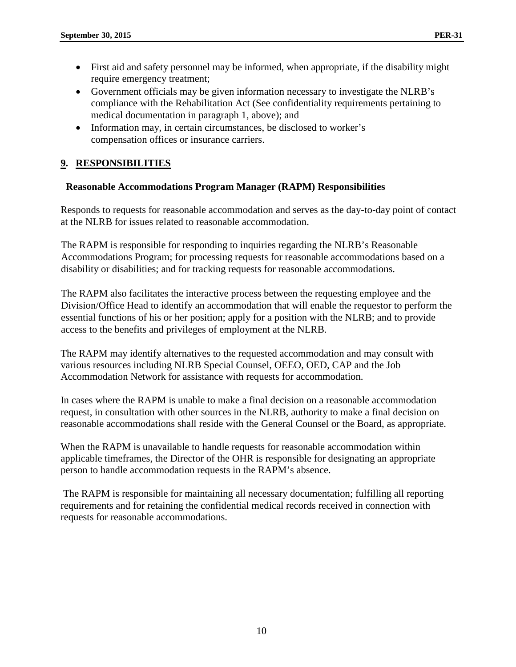- First aid and safety personnel may be informed, when appropriate, if the disability might require emergency treatment;
- Government officials may be given information necessary to investigate the NLRB's compliance with the Rehabilitation Act (See confidentiality requirements pertaining to medical documentation in paragraph 1, above); and
- Information may, in certain circumstances, be disclosed to worker's compensation offices or insurance carriers.

# **9. RESPONSIBILITIES**

# **Reasonable Accommodations Program Manager (RAPM) Responsibilities**

Responds to requests for reasonable accommodation and serves as the day-to-day point of contact at the NLRB for issues related to reasonable accommodation.

The RAPM is responsible for responding to inquiries regarding the NLRB's Reasonable Accommodations Program; for processing requests for reasonable accommodations based on a disability or disabilities; and for tracking requests for reasonable accommodations.

The RAPM also facilitates the interactive process between the requesting employee and the Division/Office Head to identify an accommodation that will enable the requestor to perform the essential functions of his or her position; apply for a position with the NLRB; and to provide access to the benefits and privileges of employment at the NLRB.

The RAPM may identify alternatives to the requested accommodation and may consult with various resources including NLRB Special Counsel, OEEO, OED, CAP and the Job Accommodation Network for assistance with requests for accommodation.

In cases where the RAPM is unable to make a final decision on a reasonable accommodation request, in consultation with other sources in the NLRB, authority to make a final decision on reasonable accommodations shall reside with the General Counsel or the Board, as appropriate.

When the RAPM is unavailable to handle requests for reasonable accommodation within applicable timeframes, the Director of the OHR is responsible for designating an appropriate person to handle accommodation requests in the RAPM's absence.

The RAPM is responsible for maintaining all necessary documentation; fulfilling all reporting requirements and for retaining the confidential medical records received in connection with requests for reasonable accommodations.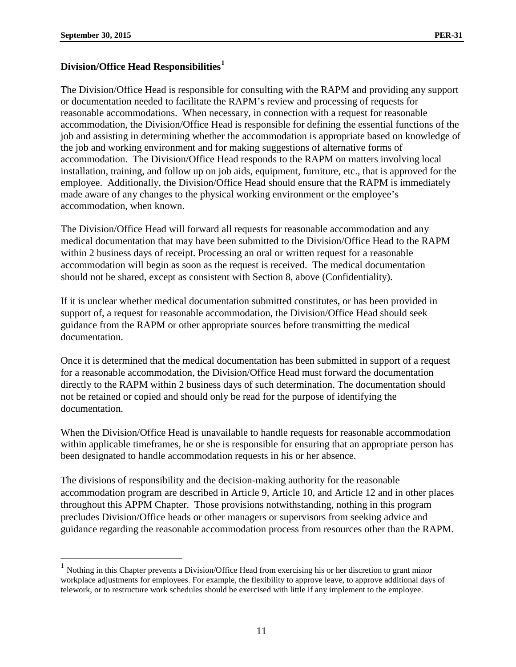$\overline{a}$ 

# **Division/Office Head Responsibilities[1](#page-10-0)**

The Division/Office Head is responsible for consulting with the RAPM and providing any support or documentation needed to facilitate the RAPM's review and processing of requests for reasonable accommodations. When necessary, in connection with a request for reasonable accommodation, the Division/Office Head is responsible for defining the essential functions of the job and assisting in determining whether the accommodation is appropriate based on knowledge of the job and working environment and for making suggestions of alternative forms of accommodation. The Division/Office Head responds to the RAPM on matters involving local installation, training, and follow up on job aids, equipment, furniture, etc., that is approved for the employee. Additionally, the Division/Office Head should ensure that the RAPM is immediately made aware of any changes to the physical working environment or the employee's accommodation, when known.

The Division/Office Head will forward all requests for reasonable accommodation and any medical documentation that may have been submitted to the Division/Office Head to the RAPM within 2 business days of receipt. Processing an oral or written request for a reasonable accommodation will begin as soon as the request is received. The medical documentation should not be shared, except as consistent with Section 8, above (Confidentiality).

If it is unclear whether medical documentation submitted constitutes, or has been provided in support of, a request for reasonable accommodation, the Division/Office Head should seek guidance from the RAPM or other appropriate sources before transmitting the medical documentation.

Once it is determined that the medical documentation has been submitted in support of a request for a reasonable accommodation, the Division/Office Head must forward the documentation directly to the RAPM within 2 business days of such determination. The documentation should not be retained or copied and should only be read for the purpose of identifying the documentation.

When the Division/Office Head is unavailable to handle requests for reasonable accommodation within applicable timeframes, he or she is responsible for ensuring that an appropriate person has been designated to handle accommodation requests in his or her absence.

The divisions of responsibility and the decision-making authority for the reasonable accommodation program are described in Article 9, Article 10, and Article 12 and in other places throughout this APPM Chapter. Those provisions notwithstanding, nothing in this program precludes Division/Office heads or other managers or supervisors from seeking advice and guidance regarding the reasonable accommodation process from resources other than the RAPM.

<span id="page-10-0"></span><sup>&</sup>lt;sup>1</sup> Nothing in this Chapter prevents a Division/Office Head from exercising his or her discretion to grant minor workplace adjustments for employees. For example, the flexibility to approve leave, to approve additional days of telework, or to restructure work schedules should be exercised with little if any implement to the employee.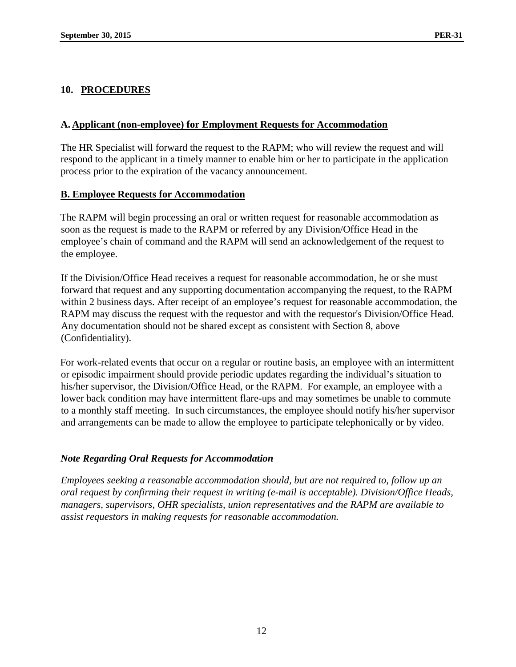# **10. PROCEDURES**

## **A. Applicant (non-employee) for Employment Requests for Accommodation**

The HR Specialist will forward the request to the RAPM; who will review the request and will respond to the applicant in a timely manner to enable him or her to participate in the application process prior to the expiration of the vacancy announcement.

# **B. Employee Requests for Accommodation**

The RAPM will begin processing an oral or written request for reasonable accommodation as soon as the request is made to the RAPM or referred by any Division/Office Head in the employee's chain of command and the RAPM will send an acknowledgement of the request to the employee.

If the Division/Office Head receives a request for reasonable accommodation, he or she must forward that request and any supporting documentation accompanying the request, to the RAPM within 2 business days. After receipt of an employee's request for reasonable accommodation, the RAPM may discuss the request with the requestor and with the requestor's Division/Office Head. Any documentation should not be shared except as consistent with Section 8, above (Confidentiality).

For work-related events that occur on a regular or routine basis, an employee with an intermittent or episodic impairment should provide periodic updates regarding the individual's situation to his/her supervisor, the Division/Office Head, or the RAPM. For example, an employee with a lower back condition may have intermittent flare-ups and may sometimes be unable to commute to a monthly staff meeting. In such circumstances, the employee should notify his/her supervisor and arrangements can be made to allow the employee to participate telephonically or by video.

# *Note Regarding Oral Requests for Accommodation*

*Employees seeking a reasonable accommodation should, but are not required to, follow up an oral request by confirming their request in writing (e-mail is acceptable). Division/Office Heads, managers, supervisors, OHR specialists, union representatives and the RAPM are available to assist requestors in making requests for reasonable accommodation.*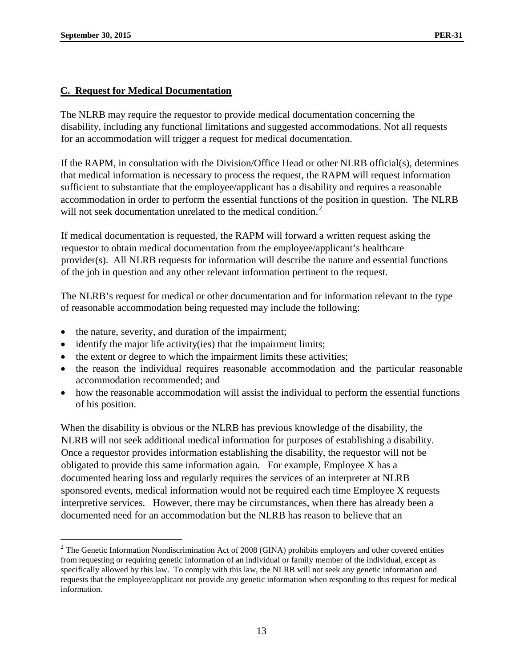$\overline{a}$ 

# **C. Request for Medical Documentation**

The NLRB may require the requestor to provide medical documentation concerning the disability, including any functional limitations and suggested accommodations. Not all requests for an accommodation will trigger a request for medical documentation.

If the RAPM, in consultation with the Division/Office Head or other NLRB official(s), determines that medical information is necessary to process the request, the RAPM will request information sufficient to substantiate that the employee/applicant has a disability and requires a reasonable accommodation in order to perform the essential functions of the position in question. The NLRB will not seek documentation unrelated to the medical condition.<sup>[2](#page-12-0)</sup>

If medical documentation is requested, the RAPM will forward a written request asking the requestor to obtain medical documentation from the employee/applicant's healthcare provider(s). All NLRB requests for information will describe the nature and essential functions of the job in question and any other relevant information pertinent to the request.

The NLRB's request for medical or other documentation and for information relevant to the type of reasonable accommodation being requested may include the following:

- the nature, severity, and duration of the impairment;
- identify the major life activity(ies) that the impairment limits;
- the extent or degree to which the impairment limits these activities;
- the reason the individual requires reasonable accommodation and the particular reasonable accommodation recommended; and
- how the reasonable accommodation will assist the individual to perform the essential functions of his position.

When the disability is obvious or the NLRB has previous knowledge of the disability, the NLRB will not seek additional medical information for purposes of establishing a disability. Once a requestor provides information establishing the disability, the requestor will not be obligated to provide this same information again. For example, Employee X has a documented hearing loss and regularly requires the services of an interpreter at NLRB sponsored events, medical information would not be required each time Employee X requests interpretive services. However, there may be circumstances, when there has already been a documented need for an accommodation but the NLRB has reason to believe that an

<span id="page-12-0"></span> $2$  The Genetic Information Nondiscrimination Act of 2008 (GINA) prohibits employers and other covered entities from requesting or requiring genetic information of an individual or family member of the individual, except as specifically allowed by this law. To comply with this law, the NLRB will not seek any genetic information and requests that the employee/applicant not provide any genetic information when responding to this request for medical information.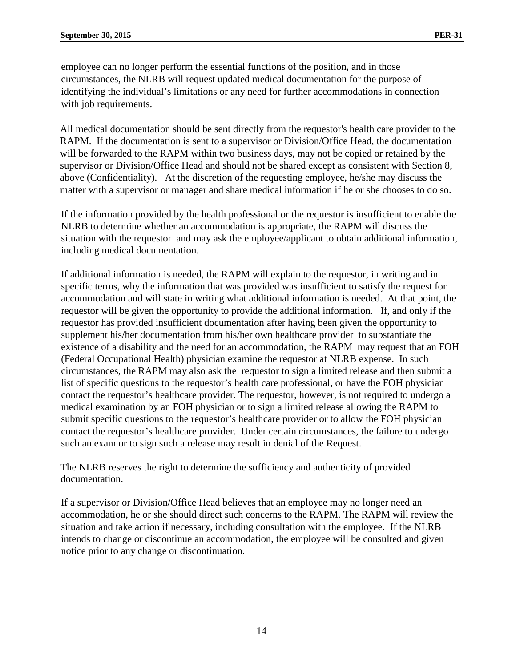employee can no longer perform the essential functions of the position, and in those circumstances, the NLRB will request updated medical documentation for the purpose of identifying the individual's limitations or any need for further accommodations in connection with job requirements.

All medical documentation should be sent directly from the requestor's health care provider to the RAPM. If the documentation is sent to a supervisor or Division/Office Head, the documentation will be forwarded to the RAPM within two business days, may not be copied or retained by the supervisor or Division/Office Head and should not be shared except as consistent with Section 8, above (Confidentiality). At the discretion of the requesting employee, he/she may discuss the matter with a supervisor or manager and share medical information if he or she chooses to do so.

If the information provided by the health professional or the requestor is insufficient to enable the NLRB to determine whether an accommodation is appropriate, the RAPM will discuss the situation with the requestor and may ask the employee/applicant to obtain additional information, including medical documentation.

If additional information is needed, the RAPM will explain to the requestor, in writing and in specific terms, why the information that was provided was insufficient to satisfy the request for accommodation and will state in writing what additional information is needed. At that point, the requestor will be given the opportunity to provide the additional information. If, and only if the requestor has provided insufficient documentation after having been given the opportunity to supplement his/her documentation from his/her own healthcare provider to substantiate the existence of a disability and the need for an accommodation, the RAPM may request that an FOH (Federal Occupational Health) physician examine the requestor at NLRB expense. In such circumstances, the RAPM may also ask the requestor to sign a limited release and then submit a list of specific questions to the requestor's health care professional, or have the FOH physician contact the requestor's healthcare provider. The requestor, however, is not required to undergo a medical examination by an FOH physician or to sign a limited release allowing the RAPM to submit specific questions to the requestor's healthcare provider or to allow the FOH physician contact the requestor's healthcare provider. Under certain circumstances, the failure to undergo such an exam or to sign such a release may result in denial of the Request.

The NLRB reserves the right to determine the sufficiency and authenticity of provided documentation.

If a supervisor or Division/Office Head believes that an employee may no longer need an accommodation, he or she should direct such concerns to the RAPM. The RAPM will review the situation and take action if necessary, including consultation with the employee. If the NLRB intends to change or discontinue an accommodation, the employee will be consulted and given notice prior to any change or discontinuation.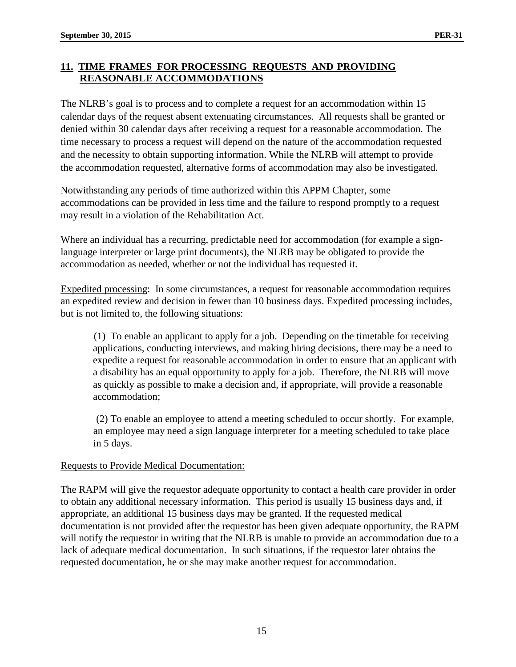# **11. TIME FRAMES FOR PROCESSING REQUESTS AND PROVIDING REASONABLE ACCOMMODATIONS**

The NLRB's goal is to process and to complete a request for an accommodation within 15 calendar days of the request absent extenuating circumstances. All requests shall be granted or denied within 30 calendar days after receiving a request for a reasonable accommodation. The time necessary to process a request will depend on the nature of the accommodation requested and the necessity to obtain supporting information. While the NLRB will attempt to provide the accommodation requested, alternative forms of accommodation may also be investigated.

Notwithstanding any periods of time authorized within this APPM Chapter, some accommodations can be provided in less time and the failure to respond promptly to a request may result in a violation of the Rehabilitation Act.

Where an individual has a recurring, predictable need for accommodation (for example a signlanguage interpreter or large print documents), the NLRB may be obligated to provide the accommodation as needed, whether or not the individual has requested it.

Expedited processing: In some circumstances, a request for reasonable accommodation requires an expedited review and decision in fewer than 10 business days. Expedited processing includes, but is not limited to, the following situations:

(1) To enable an applicant to apply for a job. Depending on the timetable for receiving applications, conducting interviews, and making hiring decisions, there may be a need to expedite a request for reasonable accommodation in order to ensure that an applicant with a disability has an equal opportunity to apply for a job. Therefore, the NLRB will move as quickly as possible to make a decision and, if appropriate, will provide a reasonable accommodation;

(2) To enable an employee to attend a meeting scheduled to occur shortly. For example, an employee may need a sign language interpreter for a meeting scheduled to take place in 5 days.

# Requests to Provide Medical Documentation:

The RAPM will give the requestor adequate opportunity to contact a health care provider in order to obtain any additional necessary information. This period is usually 15 business days and, if appropriate, an additional 15 business days may be granted. If the requested medical documentation is not provided after the requestor has been given adequate opportunity, the RAPM will notify the requestor in writing that the NLRB is unable to provide an accommodation due to a lack of adequate medical documentation. In such situations, if the requestor later obtains the requested documentation, he or she may make another request for accommodation.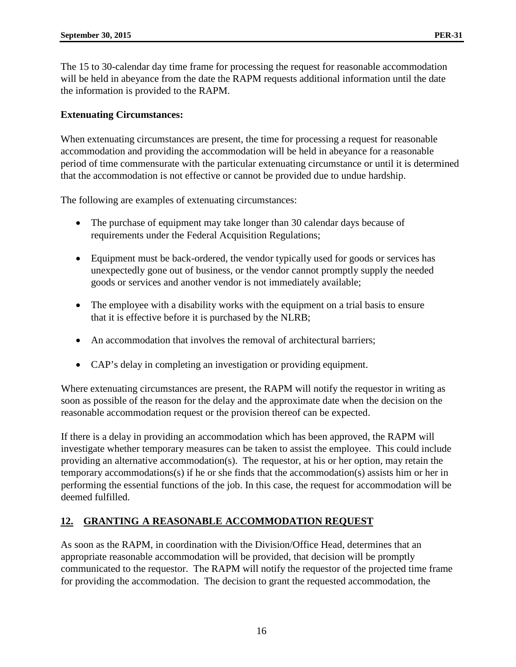The 15 to 30-calendar day time frame for processing the request for reasonable accommodation will be held in abeyance from the date the RAPM requests additional information until the date the information is provided to the RAPM.

## **Extenuating Circumstances:**

When extenuating circumstances are present, the time for processing a request for reasonable accommodation and providing the accommodation will be held in abeyance for a reasonable period of time commensurate with the particular extenuating circumstance or until it is determined that the accommodation is not effective or cannot be provided due to undue hardship.

The following are examples of extenuating circumstances:

- The purchase of equipment may take longer than 30 calendar days because of requirements under the Federal Acquisition Regulations;
- Equipment must be back-ordered, the vendor typically used for goods or services has unexpectedly gone out of business, or the vendor cannot promptly supply the needed goods or services and another vendor is not immediately available;
- The employee with a disability works with the equipment on a trial basis to ensure that it is effective before it is purchased by the NLRB;
- An accommodation that involves the removal of architectural barriers;
- CAP's delay in completing an investigation or providing equipment.

Where extenuating circumstances are present, the RAPM will notify the requestor in writing as soon as possible of the reason for the delay and the approximate date when the decision on the reasonable accommodation request or the provision thereof can be expected.

If there is a delay in providing an accommodation which has been approved, the RAPM will investigate whether temporary measures can be taken to assist the employee. This could include providing an alternative accommodation(s). The requestor, at his or her option, may retain the temporary accommodations(s) if he or she finds that the accommodation(s) assists him or her in performing the essential functions of the job. In this case, the request for accommodation will be deemed fulfilled.

# **12. GRANTING A REASONABLE ACCOMMODATION REQUEST**

As soon as the RAPM, in coordination with the Division/Office Head, determines that an appropriate reasonable accommodation will be provided, that decision will be promptly communicated to the requestor. The RAPM will notify the requestor of the projected time frame for providing the accommodation. The decision to grant the requested accommodation, the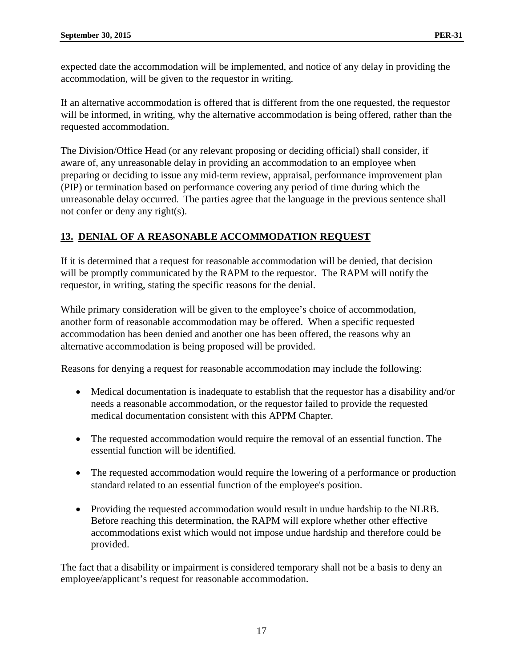expected date the accommodation will be implemented, and notice of any delay in providing the accommodation, will be given to the requestor in writing.

If an alternative accommodation is offered that is different from the one requested, the requestor will be informed, in writing, why the alternative accommodation is being offered, rather than the requested accommodation.

The Division/Office Head (or any relevant proposing or deciding official) shall consider, if aware of, any unreasonable delay in providing an accommodation to an employee when preparing or deciding to issue any mid-term review, appraisal, performance improvement plan (PIP) or termination based on performance covering any period of time during which the unreasonable delay occurred. The parties agree that the language in the previous sentence shall not confer or deny any right(s).

# **13. DENIAL OF A REASONABLE ACCOMMODATION REQUEST**

If it is determined that a request for reasonable accommodation will be denied, that decision will be promptly communicated by the RAPM to the requestor. The RAPM will notify the requestor, in writing, stating the specific reasons for the denial.

While primary consideration will be given to the employee's choice of accommodation, another form of reasonable accommodation may be offered. When a specific requested accommodation has been denied and another one has been offered, the reasons why an alternative accommodation is being proposed will be provided.

Reasons for denying a request for reasonable accommodation may include the following:

- Medical documentation is inadequate to establish that the requestor has a disability and/or needs a reasonable accommodation, or the requestor failed to provide the requested medical documentation consistent with this APPM Chapter.
- The requested accommodation would require the removal of an essential function. The essential function will be identified.
- The requested accommodation would require the lowering of a performance or production standard related to an essential function of the employee's position.
- Providing the requested accommodation would result in undue hardship to the NLRB. Before reaching this determination, the RAPM will explore whether other effective accommodations exist which would not impose undue hardship and therefore could be provided.

The fact that a disability or impairment is considered temporary shall not be a basis to deny an employee/applicant's request for reasonable accommodation.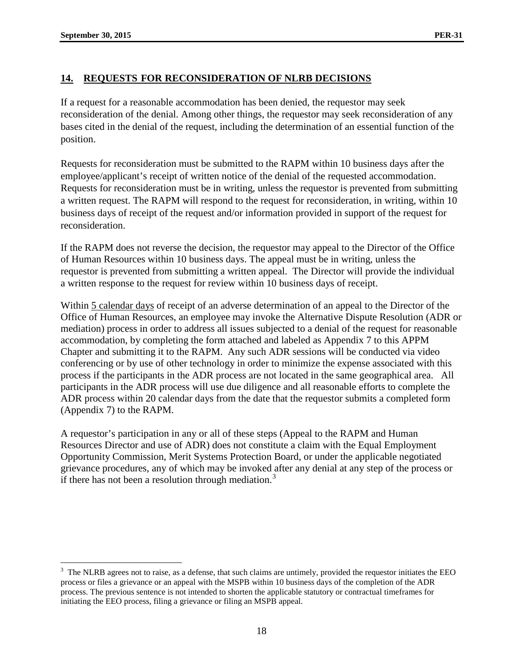# **14. REQUESTS FOR RECONSIDERATION OF NLRB DECISIONS**

If a request for a reasonable accommodation has been denied, the requestor may seek reconsideration of the denial. Among other things, the requestor may seek reconsideration of any bases cited in the denial of the request, including the determination of an essential function of the position.

Requests for reconsideration must be submitted to the RAPM within 10 business days after the employee/applicant's receipt of written notice of the denial of the requested accommodation. Requests for reconsideration must be in writing, unless the requestor is prevented from submitting a written request. The RAPM will respond to the request for reconsideration, in writing, within 10 business days of receipt of the request and/or information provided in support of the request for reconsideration.

If the RAPM does not reverse the decision, the requestor may appeal to the Director of the Office of Human Resources within 10 business days. The appeal must be in writing, unless the requestor is prevented from submitting a written appeal. The Director will provide the individual a written response to the request for review within 10 business days of receipt.

Within 5 calendar days of receipt of an adverse determination of an appeal to the Director of the Office of Human Resources, an employee may invoke the Alternative Dispute Resolution (ADR or mediation) process in order to address all issues subjected to a denial of the request for reasonable accommodation, by completing the form attached and labeled as Appendix 7 to this APPM Chapter and submitting it to the RAPM. Any such ADR sessions will be conducted via video conferencing or by use of other technology in order to minimize the expense associated with this process if the participants in the ADR process are not located in the same geographical area. All participants in the ADR process will use due diligence and all reasonable efforts to complete the ADR process within 20 calendar days from the date that the requestor submits a completed form (Appendix 7) to the RAPM.

A requestor's participation in any or all of these steps (Appeal to the RAPM and Human Resources Director and use of ADR) does not constitute a claim with the Equal Employment Opportunity Commission, Merit Systems Protection Board, or under the applicable negotiated grievance procedures, any of which may be invoked after any denial at any step of the process or if there has not been a resolution through mediation.<sup>[3](#page-17-0)</sup>

<span id="page-17-0"></span> $3$  The NLRB agrees not to raise, as a defense, that such claims are untimely, provided the requestor initiates the EEO process or files a grievance or an appeal with the MSPB within 10 business days of the completion of the ADR process. The previous sentence is not intended to shorten the applicable statutory or contractual timeframes for initiating the EEO process, filing a grievance or filing an MSPB appeal.  $\overline{a}$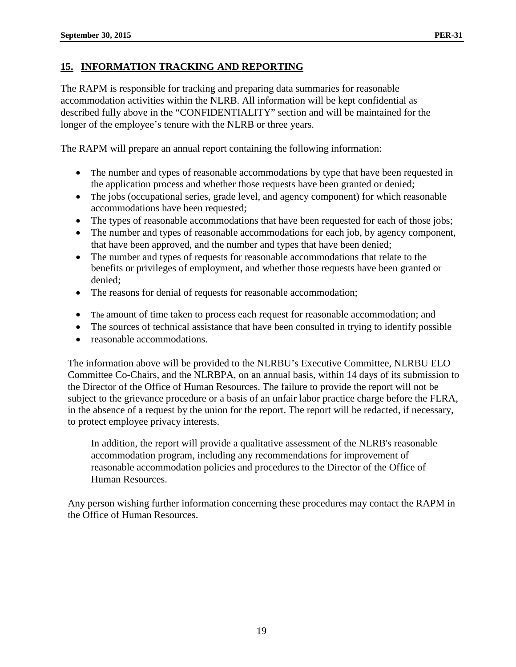The RAPM is responsible for tracking and preparing data summaries for reasonable accommodation activities within the NLRB. All information will be kept confidential as described fully above in the "CONFIDENTIALITY" section and will be maintained for the longer of the employee's tenure with the NLRB or three years.

The RAPM will prepare an annual report containing the following information:

- The number and types of reasonable accommodations by type that have been requested in the application process and whether those requests have been granted or denied;
- The jobs (occupational series, grade level, and agency component) for which reasonable accommodations have been requested;
- The types of reasonable accommodations that have been requested for each of those jobs;
- The number and types of reasonable accommodations for each job, by agency component, that have been approved, and the number and types that have been denied;
- The number and types of requests for reasonable accommodations that relate to the benefits or privileges of employment, and whether those requests have been granted or denied;
- The reasons for denial of requests for reasonable accommodation;
- The amount of time taken to process each request for reasonable accommodation; and
- The sources of technical assistance that have been consulted in trying to identify possible
- reasonable accommodations.

The information above will be provided to the NLRBU's Executive Committee, NLRBU EEO Committee Co-Chairs, and the NLRBPA, on an annual basis, within 14 days of its submission to the Director of the Office of Human Resources. The failure to provide the report will not be subject to the grievance procedure or a basis of an unfair labor practice charge before the FLRA, in the absence of a request by the union for the report. The report will be redacted, if necessary, to protect employee privacy interests.

In addition, the report will provide a qualitative assessment of the NLRB's reasonable accommodation program, including any recommendations for improvement of reasonable accommodation policies and procedures to the Director of the Office of Human Resources.

Any person wishing further information concerning these procedures may contact the RAPM in the Office of Human Resources.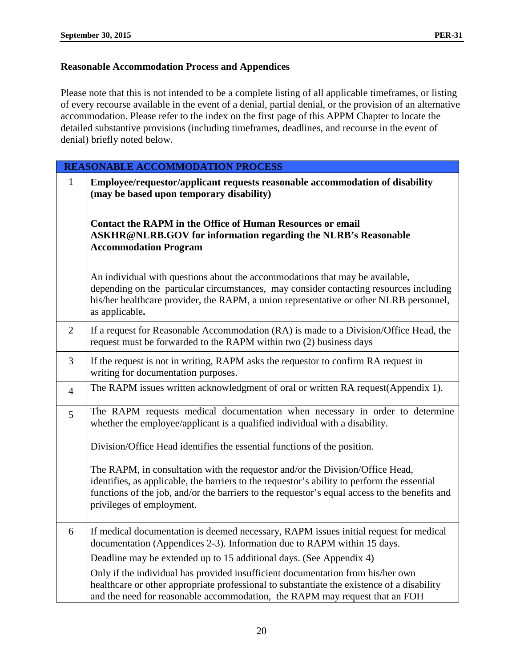# **Reasonable Accommodation Process and Appendices**

Please note that this is not intended to be a complete listing of all applicable timeframes, or listing of every recourse available in the event of a denial, partial denial, or the provision of an alternative accommodation. Please refer to the index on the first page of this APPM Chapter to locate the detailed substantive provisions (including timeframes, deadlines, and recourse in the event of denial) briefly noted below.

| <b>REASONABLE ACCOMMODATION PROCESS</b> |                                                                                                                                                                                                                                                                                                            |  |  |  |  |
|-----------------------------------------|------------------------------------------------------------------------------------------------------------------------------------------------------------------------------------------------------------------------------------------------------------------------------------------------------------|--|--|--|--|
| $\mathbf{1}$                            | Employee/requestor/applicant requests reasonable accommodation of disability<br>(may be based upon temporary disability)                                                                                                                                                                                   |  |  |  |  |
|                                         | <b>Contact the RAPM in the Office of Human Resources or email</b><br><b>ASKHR@NLRB.GOV for information regarding the NLRB's Reasonable</b><br><b>Accommodation Program</b>                                                                                                                                 |  |  |  |  |
|                                         | An individual with questions about the accommodations that may be available,<br>depending on the particular circumstances, may consider contacting resources including<br>his/her healthcare provider, the RAPM, a union representative or other NLRB personnel,<br>as applicable.                         |  |  |  |  |
| $\overline{2}$                          | If a request for Reasonable Accommodation (RA) is made to a Division/Office Head, the<br>request must be forwarded to the RAPM within two (2) business days                                                                                                                                                |  |  |  |  |
| 3                                       | If the request is not in writing, RAPM asks the requestor to confirm RA request in<br>writing for documentation purposes.                                                                                                                                                                                  |  |  |  |  |
| $\overline{4}$                          | The RAPM issues written acknowledgment of oral or written RA request(Appendix 1).                                                                                                                                                                                                                          |  |  |  |  |
| 5                                       | The RAPM requests medical documentation when necessary in order to determine<br>whether the employee/applicant is a qualified individual with a disability.                                                                                                                                                |  |  |  |  |
|                                         | Division/Office Head identifies the essential functions of the position.                                                                                                                                                                                                                                   |  |  |  |  |
|                                         | The RAPM, in consultation with the requestor and/or the Division/Office Head,<br>identifies, as applicable, the barriers to the requestor's ability to perform the essential<br>functions of the job, and/or the barriers to the requestor's equal access to the benefits and<br>privileges of employment. |  |  |  |  |
| 6                                       | If medical documentation is deemed necessary, RAPM issues initial request for medical<br>documentation (Appendices 2-3). Information due to RAPM within 15 days.                                                                                                                                           |  |  |  |  |
|                                         | Deadline may be extended up to 15 additional days. (See Appendix 4)                                                                                                                                                                                                                                        |  |  |  |  |
|                                         | Only if the individual has provided insufficient documentation from his/her own<br>healthcare or other appropriate professional to substantiate the existence of a disability<br>and the need for reasonable accommodation, the RAPM may request that an FOH                                               |  |  |  |  |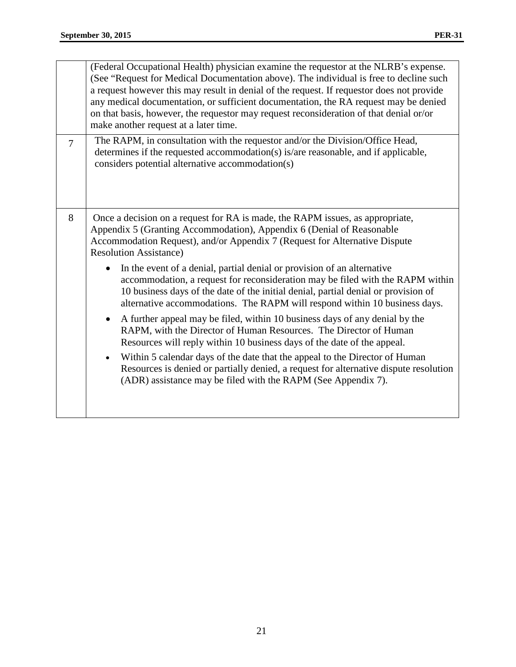|                                                                                                                                                                                                                                                                            | (Federal Occupational Health) physician examine the requestor at the NLRB's expense.<br>(See "Request for Medical Documentation above). The individual is free to decline such<br>a request however this may result in denial of the request. If requestor does not provide<br>any medical documentation, or sufficient documentation, the RA request may be denied<br>on that basis, however, the requestor may request reconsideration of that denial or/or<br>make another request at a later time. |  |  |
|----------------------------------------------------------------------------------------------------------------------------------------------------------------------------------------------------------------------------------------------------------------------------|--------------------------------------------------------------------------------------------------------------------------------------------------------------------------------------------------------------------------------------------------------------------------------------------------------------------------------------------------------------------------------------------------------------------------------------------------------------------------------------------------------|--|--|
| $\overline{7}$                                                                                                                                                                                                                                                             | The RAPM, in consultation with the requestor and/or the Division/Office Head,<br>determines if the requested accommodation(s) is/are reasonable, and if applicable,<br>considers potential alternative accommodation(s)                                                                                                                                                                                                                                                                                |  |  |
| 8<br>Once a decision on a request for RA is made, the RAPM issues, as appropriate,<br>Appendix 5 (Granting Accommodation), Appendix 6 (Denial of Reasonable<br>Accommodation Request), and/or Appendix 7 (Request for Alternative Dispute<br><b>Resolution Assistance)</b> |                                                                                                                                                                                                                                                                                                                                                                                                                                                                                                        |  |  |
|                                                                                                                                                                                                                                                                            | In the event of a denial, partial denial or provision of an alternative<br>accommodation, a request for reconsideration may be filed with the RAPM within<br>10 business days of the date of the initial denial, partial denial or provision of<br>alternative accommodations. The RAPM will respond within 10 business days.                                                                                                                                                                          |  |  |
|                                                                                                                                                                                                                                                                            | A further appeal may be filed, within 10 business days of any denial by the<br>$\bullet$<br>RAPM, with the Director of Human Resources. The Director of Human<br>Resources will reply within 10 business days of the date of the appeal.                                                                                                                                                                                                                                                               |  |  |
|                                                                                                                                                                                                                                                                            | Within 5 calendar days of the date that the appeal to the Director of Human<br>$\bullet$<br>Resources is denied or partially denied, a request for alternative dispute resolution<br>(ADR) assistance may be filed with the RAPM (See Appendix 7).                                                                                                                                                                                                                                                     |  |  |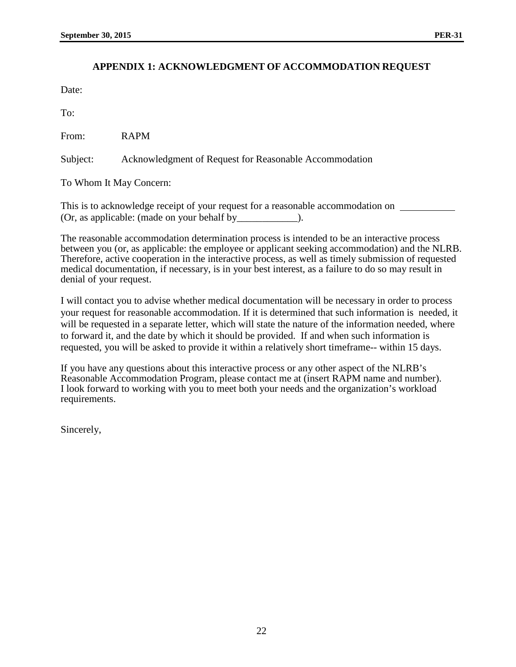#### **APPENDIX 1: ACKNOWLEDGMENT OF ACCOMMODATION REQUEST**

Date:

To:

From: RAPM

Subject: Acknowledgment of Request for Reasonable Accommodation

To Whom It May Concern:

This is to acknowledge receipt of your request for a reasonable accommodation on  $\sqrt{ }$ (Or, as applicable: (made on your behalf by\_\_\_\_\_\_\_\_\_\_\_\_).

The reasonable accommodation determination process is intended to be an interactive process between you (or, as applicable: the employee or applicant seeking accommodation) and the NLRB. Therefore, active cooperation in the interactive process, as well as timely submission of requested medical documentation, if necessary, is in your best interest, as a failure to do so may result in denial of your request.

I will contact you to advise whether medical documentation will be necessary in order to process your request for reasonable accommodation. If it is determined that such information is needed, it will be requested in a separate letter, which will state the nature of the information needed, where to forward it, and the date by which it should be provided. If and when such information is requested, you will be asked to provide it within a relatively short timeframe-- within 15 days.

If you have any questions about this interactive process or any other aspect of the NLRB's Reasonable Accommodation Program, please contact me at (insert RAPM name and number). I look forward to working with you to meet both your needs and the organization's workload requirements.

Sincerely,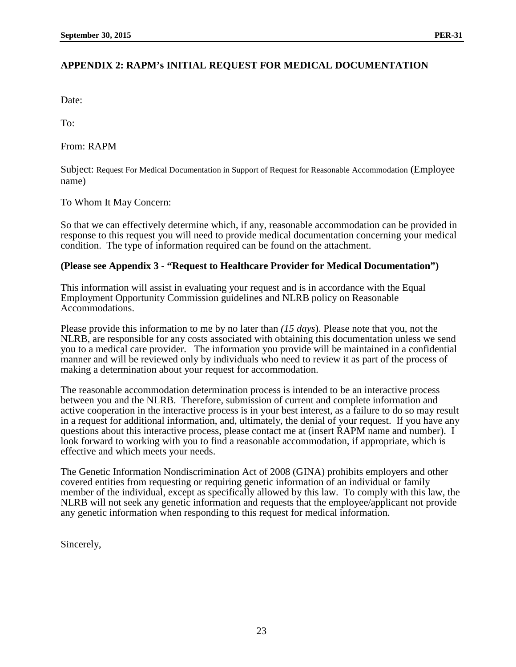Date:

To:

From: RAPM

Subject: Request For Medical Documentation in Support of Request for Reasonable Accommodation (Employee name)

To Whom It May Concern:

So that we can effectively determine which, if any, reasonable accommodation can be provided in response to this request you will need to provide medical documentation concerning your medical condition. The type of information required can be found on the attachment.

#### **(Please see Appendix 3 - "Request to Healthcare Provider for Medical Documentation")**

This information will assist in evaluating your request and is in accordance with the Equal Employment Opportunity Commission guidelines and NLRB policy on Reasonable Accommodations.

Please provide this information to me by no later than *(15 days*). Please note that you, not the NLRB, are responsible for any costs associated with obtaining this documentation unless we send you to a medical care provider. The information you provide will be maintained in a confidential manner and will be reviewed only by individuals who need to review it as part of the process of making a determination about your request for accommodation.

The reasonable accommodation determination process is intended to be an interactive process between you and the NLRB. Therefore, submission of current and complete information and active cooperation in the interactive process is in your best interest, as a failure to do so may result in a request for additional information, and, ultimately, the denial of your request. If you have any questions about this interactive process, please contact me at (insert RAPM name and number). I look forward to working with you to find a reasonable accommodation, if appropriate, which is effective and which meets your needs.

The Genetic Information Nondiscrimination Act of 2008 (GINA) prohibits employers and other covered entities from requesting or requiring genetic information of an individual or family member of the individual, except as specifically allowed by this law. To comply with this law, the NLRB will not seek any genetic information and requests that the employee/applicant not provide any genetic information when responding to this request for medical information.

Sincerely,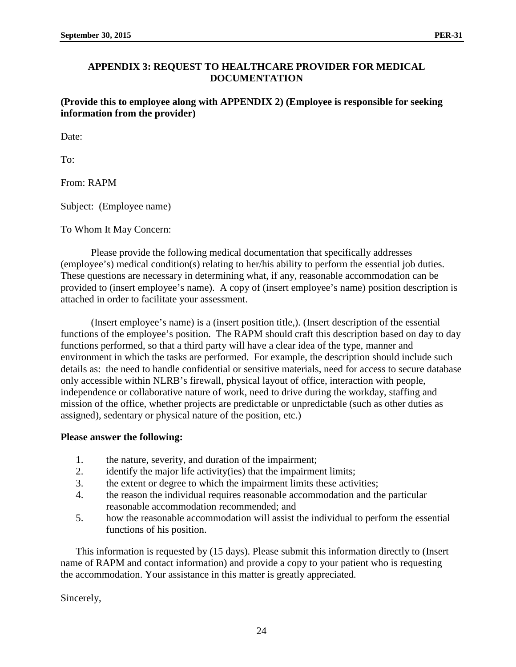## **APPENDIX 3: REQUEST TO HEALTHCARE PROVIDER FOR MEDICAL DOCUMENTATION**

**(Provide this to employee along with APPENDIX 2) (Employee is responsible for seeking information from the provider)** 

Date:

To:

From: RAPM

Subject: (Employee name)

To Whom It May Concern:

Please provide the following medical documentation that specifically addresses (employee's) medical condition(s) relating to her/his ability to perform the essential job duties. These questions are necessary in determining what, if any, reasonable accommodation can be provided to (insert employee's name). A copy of (insert employee's name) position description is attached in order to facilitate your assessment.

(Insert employee's name) is a (insert position title,). (Insert description of the essential functions of the employee's position. The RAPM should craft this description based on day to day functions performed, so that a third party will have a clear idea of the type, manner and environment in which the tasks are performed. For example, the description should include such details as: the need to handle confidential or sensitive materials, need for access to secure database only accessible within NLRB's firewall, physical layout of office, interaction with people, independence or collaborative nature of work, need to drive during the workday, staffing and mission of the office, whether projects are predictable or unpredictable (such as other duties as assigned), sedentary or physical nature of the position, etc.)

#### **Please answer the following:**

- 1. the nature, severity, and duration of the impairment;
- 2. identify the major life activity(ies) that the impairment limits;
- 3. the extent or degree to which the impairment limits these activities;
- 4. the reason the individual requires reasonable accommodation and the particular reasonable accommodation recommended; and
- 5. how the reasonable accommodation will assist the individual to perform the essential functions of his position.

This information is requested by (15 days). Please submit this information directly to (Insert name of RAPM and contact information) and provide a copy to your patient who is requesting the accommodation. Your assistance in this matter is greatly appreciated.

Sincerely,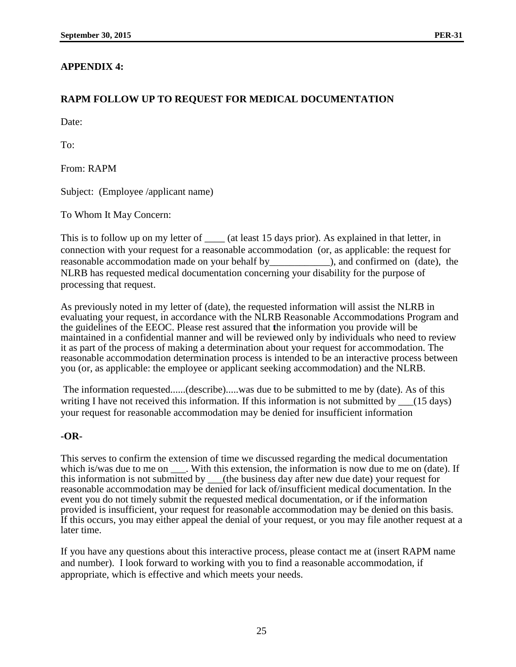# **APPENDIX 4:**

# **RAPM FOLLOW UP TO REQUEST FOR MEDICAL DOCUMENTATION**

Date:

To:

From: RAPM

Subject: (Employee /applicant name)

To Whom It May Concern:

This is to follow up on my letter of \_\_\_\_\_ (at least 15 days prior). As explained in that letter, in connection with your request for a reasonable accommodation (or, as applicable: the request for reasonable accommodation made on your behalf by\_\_\_\_\_\_\_\_\_\_\_\_), and confirmed on (date), the NLRB has requested medical documentation concerning your disability for the purpose of processing that request.

As previously noted in my letter of (date), the requested information will assist the NLRB in evaluating your request, in accordance with the NLRB Reasonable Accommodations Program and the guidelines of the EEOC. Please rest assured that **t**he information you provide will be maintained in a confidential manner and will be reviewed only by individuals who need to review it as part of the process of making a determination about your request for accommodation. The reasonable accommodation determination process is intended to be an interactive process between you (or, as applicable: the employee or applicant seeking accommodation) and the NLRB.

The information requested......(describe).....was due to be submitted to me by (date). As of this writing I have not received this information. If this information is not submitted by (15 days) your request for reasonable accommodation may be denied for insufficient information

# **-OR-**

This serves to confirm the extension of time we discussed regarding the medical documentation which is/was due to me on . With this extension, the information is now due to me on (date). If this information is not submitted by \_\_\_(the business day after new due date) your request for reasonable accommodation may be denied for lack of/insufficient medical documentation. In the event you do not timely submit the requested medical documentation, or if the information provided is insufficient, your request for reasonable accommodation may be denied on this basis. If this occurs, you may either appeal the denial of your request, or you may file another request at a later time.

If you have any questions about this interactive process, please contact me at (insert RAPM name and number). I look forward to working with you to find a reasonable accommodation, if appropriate, which is effective and which meets your needs.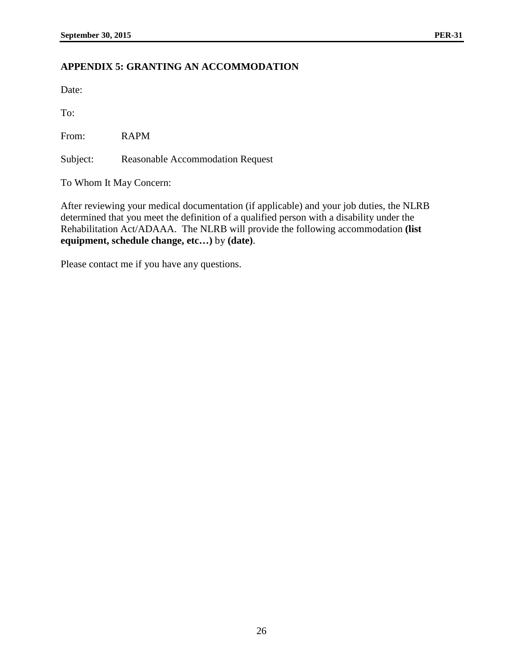# **APPENDIX 5: GRANTING AN ACCOMMODATION**

Date:

To:

From: RAPM

Subject: Reasonable Accommodation Request

To Whom It May Concern:

After reviewing your medical documentation (if applicable) and your job duties, the NLRB determined that you meet the definition of a qualified person with a disability under the Rehabilitation Act/ADAAA. The NLRB will provide the following accommodation **(list equipment, schedule change, etc…)** by **(date)**.

Please contact me if you have any questions.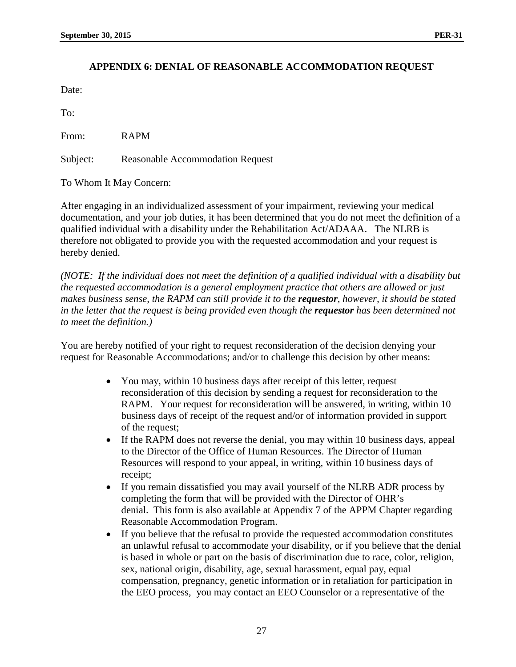# **APPENDIX 6: DENIAL OF REASONABLE ACCOMMODATION REQUEST**

Date:

To:

From: RAPM

Subject: Reasonable Accommodation Request

To Whom It May Concern:

After engaging in an individualized assessment of your impairment, reviewing your medical documentation, and your job duties, it has been determined that you do not meet the definition of a qualified individual with a disability under the Rehabilitation Act/ADAAA. The NLRB is therefore not obligated to provide you with the requested accommodation and your request is hereby denied.

*(NOTE: If the individual does not meet the definition of a qualified individual with a disability but the requested accommodation is a general employment practice that others are allowed or just makes business sense, the RAPM can still provide it to the requestor, however, it should be stated in the letter that the request is being provided even though the requestor has been determined not to meet the definition.)*

You are hereby notified of your right to request reconsideration of the decision denying your request for Reasonable Accommodations; and/or to challenge this decision by other means:

- You may, within 10 business days after receipt of this letter, request reconsideration of this decision by sending a request for reconsideration to the RAPM. Your request for reconsideration will be answered, in writing, within 10 business days of receipt of the request and/or of information provided in support of the request;
- If the RAPM does not reverse the denial, you may within 10 business days, appeal to the Director of the Office of Human Resources. The Director of Human Resources will respond to your appeal, in writing, within 10 business days of receipt;
- If you remain dissatisfied you may avail yourself of the NLRB ADR process by completing the form that will be provided with the Director of OHR's denial. This form is also available at Appendix 7 of the APPM Chapter regarding Reasonable Accommodation Program.
- If you believe that the refusal to provide the requested accommodation constitutes an unlawful refusal to accommodate your disability, or if you believe that the denial is based in whole or part on the basis of discrimination due to race, color, religion, sex, national origin, disability, age, sexual harassment, equal pay, equal compensation, pregnancy, genetic information or in retaliation for participation in the EEO process, you may contact an EEO Counselor or a representative of the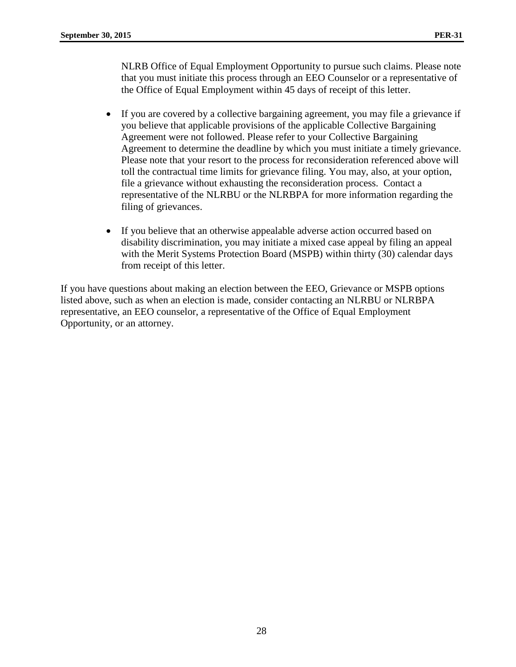NLRB Office of Equal Employment Opportunity to pursue such claims. Please note that you must initiate this process through an EEO Counselor or a representative of the Office of Equal Employment within 45 days of receipt of this letter.

- If you are covered by a collective bargaining agreement, you may file a grievance if you believe that applicable provisions of the applicable Collective Bargaining Agreement were not followed. Please refer to your Collective Bargaining Agreement to determine the deadline by which you must initiate a timely grievance. Please note that your resort to the process for reconsideration referenced above will toll the contractual time limits for grievance filing. You may, also, at your option, file a grievance without exhausting the reconsideration process. Contact a representative of the NLRBU or the NLRBPA for more information regarding the filing of grievances.
- If you believe that an otherwise appealable adverse action occurred based on disability discrimination, you may initiate a mixed case appeal by filing an appeal with the Merit Systems Protection Board (MSPB) within thirty (30) calendar days from receipt of this letter.

If you have questions about making an election between the EEO, Grievance or MSPB options listed above, such as when an election is made, consider contacting an NLRBU or NLRBPA representative, an EEO counselor, a representative of the Office of Equal Employment Opportunity, or an attorney.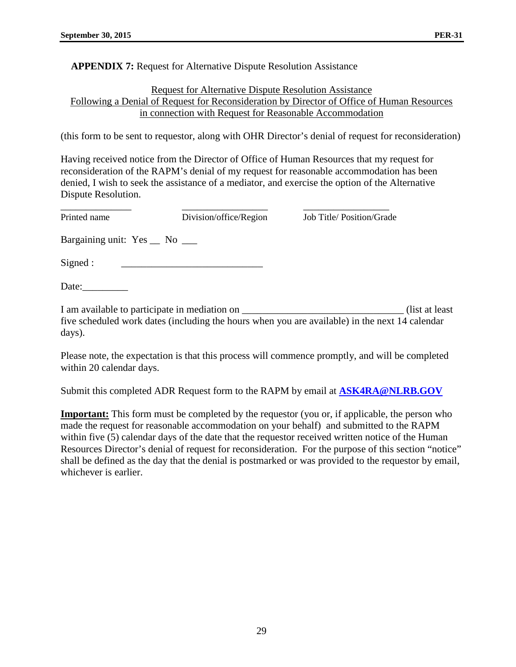#### **APPENDIX 7:** Request for Alternative Dispute Resolution Assistance

#### Request for Alternative Dispute Resolution Assistance Following a Denial of Request for Reconsideration by Director of Office of Human Resources in connection with Request for Reasonable Accommodation

(this form to be sent to requestor, along with OHR Director's denial of request for reconsideration)

Having received notice from the Director of Office of Human Resources that my request for reconsideration of the RAPM's denial of my request for reasonable accommodation has been denied, I wish to seek the assistance of a mediator, and exercise the option of the Alternative Dispute Resolution.

| Printed name                 | Division/office/Region                        | Job Title/Position/Grade                                                                                          |
|------------------------------|-----------------------------------------------|-------------------------------------------------------------------------------------------------------------------|
| Bargaining unit: Yes _ No __ |                                               |                                                                                                                   |
| Signed:                      |                                               |                                                                                                                   |
| Date:                        |                                               |                                                                                                                   |
| days).                       | I am available to participate in mediation on | (list at least)<br>five scheduled work dates (including the hours when you are available) in the next 14 calendar |

Please note, the expectation is that this process will commence promptly, and will be completed within 20 calendar days.

Submit this completed ADR Request form to the RAPM by email at **[ASK4RA@NLRB.GOV](mailto:ASK4RA@NLRB.GOV)**

**Important:** This form must be completed by the requestor (you or, if applicable, the person who made the request for reasonable accommodation on your behalf) and submitted to the RAPM within five (5) calendar days of the date that the requestor received written notice of the Human Resources Director's denial of request for reconsideration. For the purpose of this section "notice" shall be defined as the day that the denial is postmarked or was provided to the requestor by email, whichever is earlier.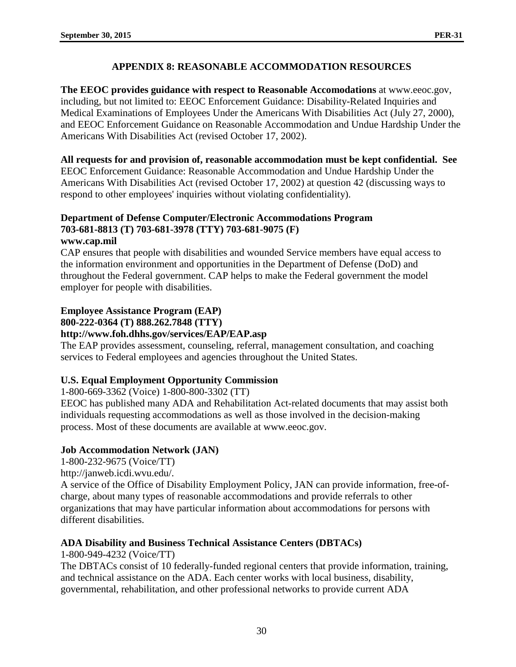# **APPENDIX 8: REASONABLE ACCOMMODATION RESOURCES**

**The EEOC provides guidance with respect to Reasonable Accomodations** at www.eeoc.gov, including, but not limited to: EEOC Enforcement Guidance: Disability-Related Inquiries and Medical Examinations of Employees Under the Americans With Disabilities Act (July 27, 2000), and EEOC Enforcement Guidance on Reasonable Accommodation and Undue Hardship Under the Americans With Disabilities Act (revised October 17, 2002).

**All requests for and provision of, reasonable accommodation must be kept confidential. See**  EEOC Enforcement Guidance: Reasonable Accommodation and Undue Hardship Under the Americans With Disabilities Act (revised October 17, 2002) at question 42 (discussing ways to respond to other employees' inquiries without violating confidentiality).

# **Department of Defense Computer/Electronic Accommodations Program 703-681-8813 (T) 703-681-3978 (TTY) 703-681-9075 (F)**

## **www.cap.mil**

CAP ensures that people with disabilities and wounded Service members have equal access to the information environment and opportunities in the Department of Defense (DoD) and throughout the Federal government. CAP helps to make the Federal government the model employer for people with disabilities.

# **Employee Assistance Program (EAP)**

## **800-222-0364 (T) 888.262.7848 (TTY)**

# **http://www.foh.dhhs.gov/services/EAP/EAP.asp**

The EAP provides assessment, counseling, referral, management consultation, and coaching services to Federal employees and agencies throughout the United States.

# **U.S. Equal Employment Opportunity Commission**

1-800-669-3362 (Voice) 1-800-800-3302 (TT)

EEOC has published many ADA and Rehabilitation Act-related documents that may assist both individuals requesting accommodations as well as those involved in the decision-making process. Most of these documents are available at www.eeoc.gov.

# **Job Accommodation Network (JAN)**

1-800-232-9675 (Voice/TT)

http://janweb.icdi.wvu.edu/.

A service of the Office of Disability Employment Policy, JAN can provide information, free-ofcharge, about many types of reasonable accommodations and provide referrals to other organizations that may have particular information about accommodations for persons with different disabilities.

# **ADA Disability and Business Technical Assistance Centers (DBTACs)**

1-800-949-4232 (Voice/TT)

The DBTACs consist of 10 federally-funded regional centers that provide information, training, and technical assistance on the ADA. Each center works with local business, disability, governmental, rehabilitation, and other professional networks to provide current ADA